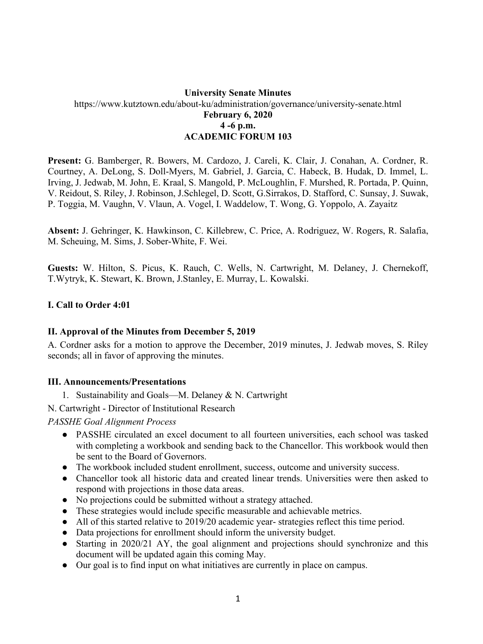## **University Senate Minutes** https://www.kutztown.edu/about-ku/administration/governance/university-senate.html **February 6, 2020 4 -6 p.m. ACADEMIC FORUM 103**

**Present:** G. Bamberger, R. Bowers, M. Cardozo, J. Careli, K. Clair, J. Conahan, A. Cordner, R. Courtney, A. DeLong, S. Doll-Myers, M. Gabriel, J. Garcia, C. Habeck, B. Hudak, D. Immel, L. Irving, J. Jedwab, M. John, E. Kraal, S. Mangold, P. McLoughlin, F. Murshed, R. Portada, P. Quinn, V. Reidout, S. Riley, J. Robinson, J.Schlegel, D. Scott, G.Sirrakos, D. Stafford, C. Sunsay, J. Suwak, P. Toggia, M. Vaughn, V. Vlaun, A. Vogel, I. Waddelow, T. Wong, G. Yoppolo, A. Zayaitz

**Absent:** J. Gehringer, K. Hawkinson, C. Killebrew, C. Price, A. Rodriguez, W. Rogers, R. Salafia, M. Scheuing, M. Sims, J. Sober-White, F. Wei.

**Guests:** W. Hilton, S. Picus, K. Rauch, C. Wells, N. Cartwright, M. Delaney, J. Chernekoff, T.Wytryk, K. Stewart, K. Brown, J.Stanley, E. Murray, L. Kowalski.

### **I. Call to Order 4:01**

### **II. Approval of the Minutes from December 5, 2019**

A. Cordner asks for a motion to approve the December, 2019 minutes, J. Jedwab moves, S. Riley seconds; all in favor of approving the minutes.

### **III. Announcements/Presentations**

1. Sustainability and Goals—M. Delaney & N. Cartwright

N. Cartwright - Director of Institutional Research

*PASSHE Goal Alignment Process* 

- PASSHE circulated an excel document to all fourteen universities, each school was tasked with completing a workbook and sending back to the Chancellor. This workbook would then be sent to the Board of Governors.
- The workbook included student enrollment, success, outcome and university success.
- Chancellor took all historic data and created linear trends. Universities were then asked to respond with projections in those data areas.
- No projections could be submitted without a strategy attached.
- These strategies would include specific measurable and achievable metrics.
- All of this started relative to 2019/20 academic year- strategies reflect this time period.
- Data projections for enrollment should inform the university budget.
- Starting in 2020/21 AY, the goal alignment and projections should synchronize and this document will be updated again this coming May.
- Our goal is to find input on what initiatives are currently in place on campus.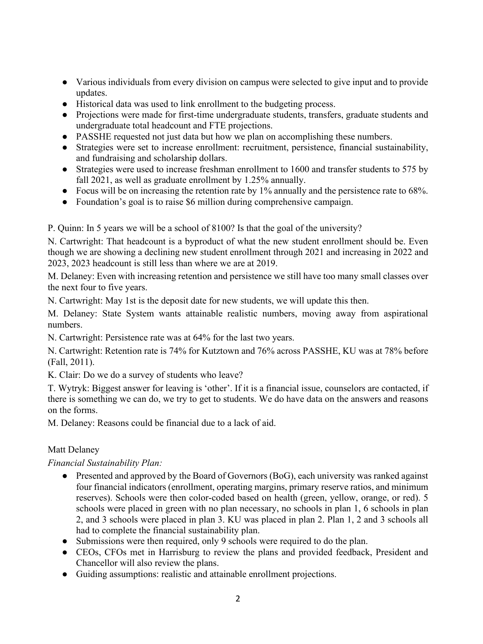- Various individuals from every division on campus were selected to give input and to provide updates.
- Historical data was used to link enrollment to the budgeting process.
- Projections were made for first-time undergraduate students, transfers, graduate students and undergraduate total headcount and FTE projections.
- PASSHE requested not just data but how we plan on accomplishing these numbers.
- Strategies were set to increase enrollment: recruitment, persistence, financial sustainability, and fundraising and scholarship dollars.
- Strategies were used to increase freshman enrollment to 1600 and transfer students to 575 by fall 2021, as well as graduate enrollment by 1.25% annually.
- Focus will be on increasing the retention rate by  $1\%$  annually and the persistence rate to 68%.
- Foundation's goal is to raise \$6 million during comprehensive campaign.

P. Quinn: In 5 years we will be a school of 8100? Is that the goal of the university?

N. Cartwright: That headcount is a byproduct of what the new student enrollment should be. Even though we are showing a declining new student enrollment through 2021 and increasing in 2022 and 2023, 2023 headcount is still less than where we are at 2019.

M. Delaney: Even with increasing retention and persistence we still have too many small classes over the next four to five years.

N. Cartwright: May 1st is the deposit date for new students, we will update this then.

M. Delaney: State System wants attainable realistic numbers, moving away from aspirational numbers.

N. Cartwright: Persistence rate was at 64% for the last two years.

N. Cartwright: Retention rate is 74% for Kutztown and 76% across PASSHE, KU was at 78% before (Fall, 2011).

K. Clair: Do we do a survey of students who leave?

T. Wytryk: Biggest answer for leaving is 'other'. If it is a financial issue, counselors are contacted, if there is something we can do, we try to get to students. We do have data on the answers and reasons on the forms.

M. Delaney: Reasons could be financial due to a lack of aid.

# Matt Delaney

*Financial Sustainability Plan:* 

- Presented and approved by the Board of Governors (BoG), each university was ranked against four financial indicators (enrollment, operating margins, primary reserve ratios, and minimum reserves). Schools were then color-coded based on health (green, yellow, orange, or red). 5 schools were placed in green with no plan necessary, no schools in plan 1, 6 schools in plan 2, and 3 schools were placed in plan 3. KU was placed in plan 2. Plan 1, 2 and 3 schools all had to complete the financial sustainability plan.
- Submissions were then required, only 9 schools were required to do the plan.
- CEOs, CFOs met in Harrisburg to review the plans and provided feedback, President and Chancellor will also review the plans.
- Guiding assumptions: realistic and attainable enrollment projections.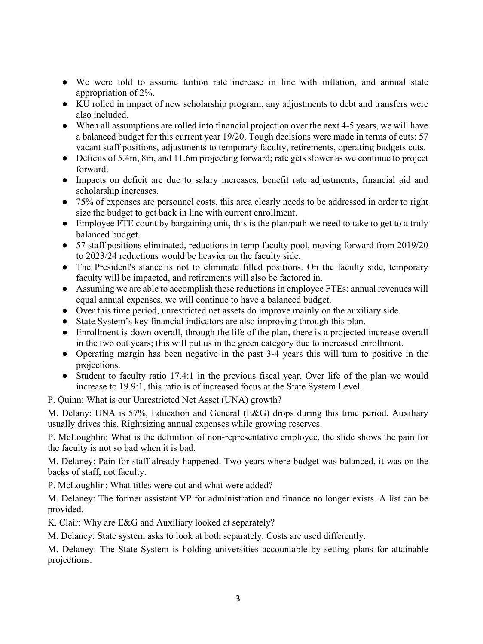- We were told to assume tuition rate increase in line with inflation, and annual state appropriation of 2%.
- KU rolled in impact of new scholarship program, any adjustments to debt and transfers were also included.
- When all assumptions are rolled into financial projection over the next 4-5 years, we will have a balanced budget for this current year 19/20. Tough decisions were made in terms of cuts: 57 vacant staff positions, adjustments to temporary faculty, retirements, operating budgets cuts.
- Deficits of 5.4m, 8m, and 11.6m projecting forward; rate gets slower as we continue to project forward.
- Impacts on deficit are due to salary increases, benefit rate adjustments, financial aid and scholarship increases.
- 75% of expenses are personnel costs, this area clearly needs to be addressed in order to right size the budget to get back in line with current enrollment.
- Employee FTE count by bargaining unit, this is the plan/path we need to take to get to a truly balanced budget.
- 57 staff positions eliminated, reductions in temp faculty pool, moving forward from 2019/20 to 2023/24 reductions would be heavier on the faculty side.
- The President's stance is not to eliminate filled positions. On the faculty side, temporary faculty will be impacted, and retirements will also be factored in.
- Assuming we are able to accomplish these reductions in employee FTEs: annual revenues will equal annual expenses, we will continue to have a balanced budget.
- Over this time period, unrestricted net assets do improve mainly on the auxiliary side.
- State System's key financial indicators are also improving through this plan.
- Enrollment is down overall, through the life of the plan, there is a projected increase overall in the two out years; this will put us in the green category due to increased enrollment.
- Operating margin has been negative in the past 3-4 years this will turn to positive in the projections.
- Student to faculty ratio 17.4:1 in the previous fiscal year. Over life of the plan we would increase to 19.9:1, this ratio is of increased focus at the State System Level.

P. Quinn: What is our Unrestricted Net Asset (UNA) growth?

M. Delany: UNA is 57%, Education and General (E&G) drops during this time period, Auxiliary usually drives this. Rightsizing annual expenses while growing reserves.

P. McLoughlin: What is the definition of non-representative employee, the slide shows the pain for the faculty is not so bad when it is bad.

M. Delaney: Pain for staff already happened. Two years where budget was balanced, it was on the backs of staff, not faculty.

P. McLoughlin: What titles were cut and what were added?

M. Delaney: The former assistant VP for administration and finance no longer exists. A list can be provided.

K. Clair: Why are E&G and Auxiliary looked at separately?

M. Delaney: State system asks to look at both separately. Costs are used differently.

M. Delaney: The State System is holding universities accountable by setting plans for attainable projections.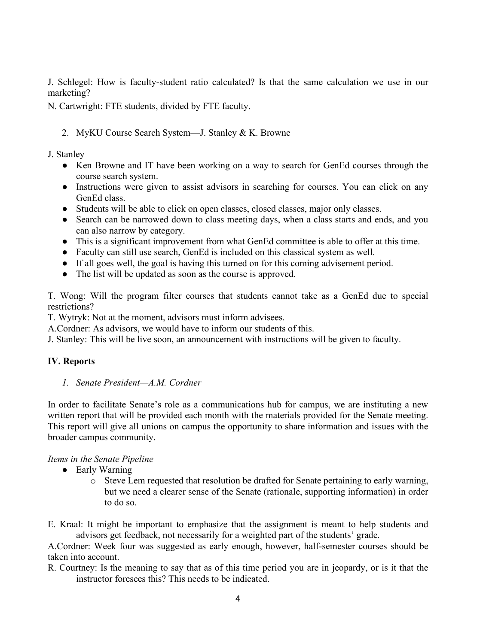J. Schlegel: How is faculty-student ratio calculated? Is that the same calculation we use in our marketing?

N. Cartwright: FTE students, divided by FTE faculty.

2. MyKU Course Search System—J. Stanley & K. Browne

J. Stanley

- Ken Browne and IT have been working on a way to search for GenEd courses through the course search system.
- Instructions were given to assist advisors in searching for courses. You can click on any GenEd class.
- Students will be able to click on open classes, closed classes, major only classes.
- Search can be narrowed down to class meeting days, when a class starts and ends, and you can also narrow by category.
- This is a significant improvement from what GenEd committee is able to offer at this time.
- Faculty can still use search, GenEd is included on this classical system as well.
- If all goes well, the goal is having this turned on for this coming advisement period.
- The list will be updated as soon as the course is approved.

T. Wong: Will the program filter courses that students cannot take as a GenEd due to special restrictions?

T. Wytryk: Not at the moment, advisors must inform advisees.

A.Cordner: As advisors, we would have to inform our students of this.

J. Stanley: This will be live soon, an announcement with instructions will be given to faculty.

## **IV. Reports**

## *1. Senate President—A.M. Cordner*

In order to facilitate Senate's role as a communications hub for campus, we are instituting a new written report that will be provided each month with the materials provided for the Senate meeting. This report will give all unions on campus the opportunity to share information and issues with the broader campus community.

## *Items in the Senate Pipeline*

- Early Warning
	- o Steve Lem requested that resolution be drafted for Senate pertaining to early warning, but we need a clearer sense of the Senate (rationale, supporting information) in order to do so.

E. Kraal: It might be important to emphasize that the assignment is meant to help students and advisors get feedback, not necessarily for a weighted part of the students' grade.

A.Cordner: Week four was suggested as early enough, however, half-semester courses should be taken into account.

R. Courtney: Is the meaning to say that as of this time period you are in jeopardy, or is it that the instructor foresees this? This needs to be indicated.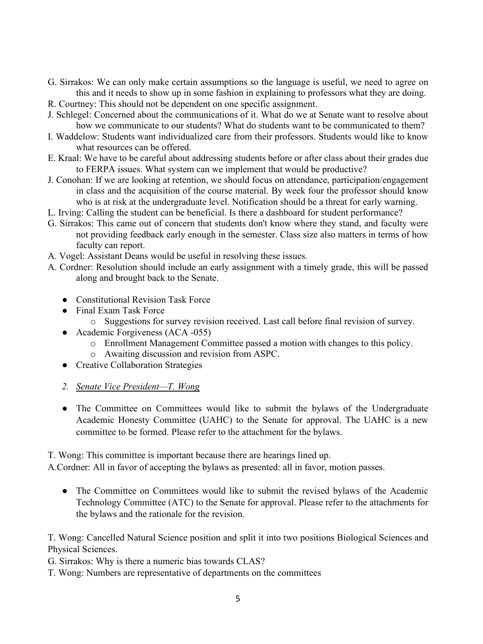- G. Sirrakos: We can only make certain assumptions so the language is useful, we need to agree on this and it needs to show up in some fashion in explaining to professors what they are doing.
- R. Courtney: This should not be dependent on one specific assignment.
- J. Schlegel: Concerned about the communications of it. What do we at Senate want to resolve about how we communicate to our students? What do students want to be communicated to them?
- I. Waddelow: Students want individualized care from their professors. Students would like to know what resources can be offered.
- E. Kraal: We have to be careful about addressing students before or after class about their grades due to FERPA issues. What system can we implement that would be productive?
- J. Conohan: If we are looking at retention, we should focus on attendance, participation/engagement in class and the acquisition of the course material. By week four the professor should know who is at risk at the undergraduate level. Notification should be a threat for early warning.
- L. Irving: Calling the student can be beneficial. Is there a dashboard for student performance?
- G. Sirrakos: This came out of concern that students don't know where they stand, and faculty were not providing feedback early enough in the semester. Class size also matters in terms of how faculty can report.
- A. Vogel: Assistant Deans would be useful in resolving these issues.
- A. Cordner: Resolution should include an early assignment with a timely grade, this will be passed along and brought back to the Senate.
	- Constitutional Revision Task Force
	- Final Exam Task Force
		- o Suggestions for survey revision received. Last call before final revision of survey.
	- Academic Forgiveness (ACA -055)
		- o Enrollment Management Committee passed a motion with changes to this policy.
		- o Awaiting discussion and revision from ASPC.
	- Creative Collaboration Strategies
	- *2. Senate Vice President—T. Wong*
	- The Committee on Committees would like to submit the bylaws of the Undergraduate Academic Honesty Committee (UAHC) to the Senate for approval. The UAHC is a new committee to be formed. Please refer to the attachment for the bylaws.

T. Wong: This committee is important because there are hearings lined up.

A.Cordner: All in favor of accepting the bylaws as presented: all in favor, motion passes.

• The Committee on Committees would like to submit the revised bylaws of the Academic Technology Committee (ATC) to the Senate for approval. Please refer to the attachments for the bylaws and the rationale for the revision.

T. Wong: Cancelled Natural Science position and split it into two positions Biological Sciences and Physical Sciences.

- G. Sirrakos: Why is there a numeric bias towards CLAS?
- T. Wong: Numbers are representative of departments on the committees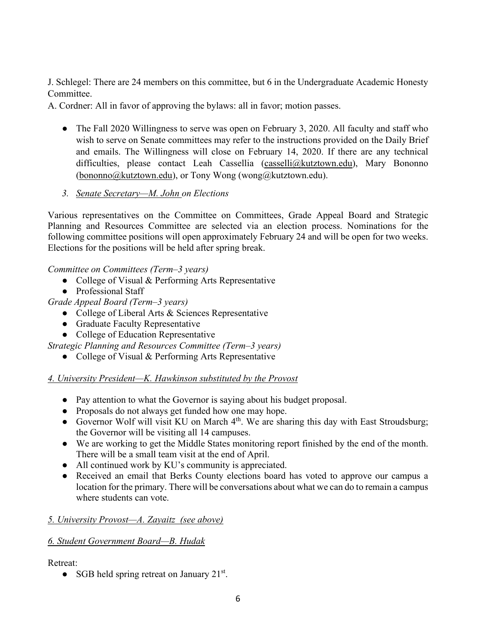J. Schlegel: There are 24 members on this committee, but 6 in the Undergraduate Academic Honesty Committee.

A. Cordner: All in favor of approving the bylaws: all in favor; motion passes.

- The Fall 2020 Willingness to serve was open on February 3, 2020. All faculty and staff who wish to serve on Senate committees may refer to the instructions provided on the Daily Brief and emails. The Willingness will close on February 14, 2020. If there are any technical difficulties, please contact Leah Cassellia [\(casselli@kutztown.edu\)](mailto:casselli@kutztown.edu), Mary Bononno [\(bononno@kutztown.edu\)](mailto:bononno@kutztown.edu), or Tony Wong (wong@kutztown.edu).
- *3. Senate Secretary—M. John on Elections*

Various representatives on the Committee on Committees, Grade Appeal Board and Strategic Planning and Resources Committee are selected via an election process. Nominations for the following committee positions will open approximately February 24 and will be open for two weeks. Elections for the positions will be held after spring break.

*Committee on Committees (Term–3 years)* 

- College of Visual & Performing Arts Representative
- Professional Staff

*Grade Appeal Board (Term–3 years)* 

- College of Liberal Arts & Sciences Representative
- Graduate Faculty Representative
- College of Education Representative

*Strategic Planning and Resources Committee (Term–3 years)* 

• College of Visual & Performing Arts Representative

# *4. University President—K. Hawkinson substituted by the Provost*

- Pay attention to what the Governor is saying about his budget proposal.
- Proposals do not always get funded how one may hope.
- Governor Wolf will visit KU on March 4<sup>th</sup>. We are sharing this day with East Stroudsburg; the Governor will be visiting all 14 campuses.
- We are working to get the Middle States monitoring report finished by the end of the month. There will be a small team visit at the end of April.
- All continued work by KU's community is appreciated.
- Received an email that Berks County elections board has voted to approve our campus a location for the primary. There will be conversations about what we can do to remain a campus where students can vote.

# *5. University Provost—A. Zayaitz (see above)*

# *6. Student Government Board—B. Hudak*

Retreat:

• SGB held spring retreat on January  $21^{st}$ .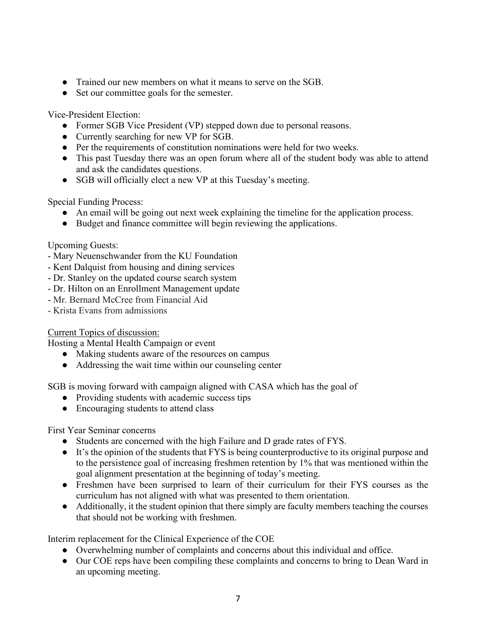- Trained our new members on what it means to serve on the SGB.
- Set our committee goals for the semester.

Vice-President Election:

- Former SGB Vice President (VP) stepped down due to personal reasons.
- Currently searching for new VP for SGB.
- Per the requirements of constitution nominations were held for two weeks.
- This past Tuesday there was an open forum where all of the student body was able to attend and ask the candidates questions.
- SGB will officially elect a new VP at this Tuesday's meeting.

Special Funding Process:

- An email will be going out next week explaining the timeline for the application process.
- Budget and finance committee will begin reviewing the applications.

Upcoming Guests:

- Mary Neuenschwander from the KU Foundation
- Kent Dalquist from housing and dining services
- Dr. Stanley on the updated course search system
- Dr. Hilton on an Enrollment Management update
- Mr. Bernard McCree from Financial Aid
- Krista Evans from admissions

Current Topics of discussion:

Hosting a Mental Health Campaign or event

- Making students aware of the resources on campus
- Addressing the wait time within our counseling center

SGB is moving forward with campaign aligned with CASA which has the goal of

- Providing students with academic success tips
- Encouraging students to attend class

First Year Seminar concerns

- Students are concerned with the high Failure and D grade rates of FYS.
- It's the opinion of the students that FYS is being counterproductive to its original purpose and to the persistence goal of increasing freshmen retention by 1% that was mentioned within the goal alignment presentation at the beginning of today's meeting.
- Freshmen have been surprised to learn of their curriculum for their FYS courses as the curriculum has not aligned with what was presented to them orientation.
- Additionally, it the student opinion that there simply are faculty members teaching the courses that should not be working with freshmen.

Interim replacement for the Clinical Experience of the COE

- Overwhelming number of complaints and concerns about this individual and office.
- Our COE reps have been compiling these complaints and concerns to bring to Dean Ward in an upcoming meeting.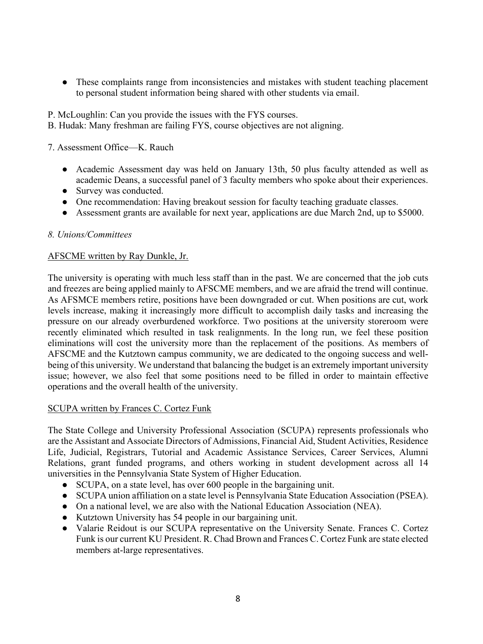● These complaints range from inconsistencies and mistakes with student teaching placement to personal student information being shared with other students via email.

P. McLoughlin: Can you provide the issues with the FYS courses.

B. Hudak: Many freshman are failing FYS, course objectives are not aligning.

7. Assessment Office—K. Rauch

- Academic Assessment day was held on January 13th, 50 plus faculty attended as well as academic Deans, a successful panel of 3 faculty members who spoke about their experiences.
- Survey was conducted.
- One recommendation: Having breakout session for faculty teaching graduate classes.
- Assessment grants are available for next year, applications are due March 2nd, up to \$5000.

### *8. Unions/Committees*

### AFSCME written by Ray Dunkle, Jr.

The university is operating with much less staff than in the past. We are concerned that the job cuts and freezes are being applied mainly to AFSCME members, and we are afraid the trend will continue. As AFSMCE members retire, positions have been downgraded or cut. When positions are cut, work levels increase, making it increasingly more difficult to accomplish daily tasks and increasing the pressure on our already overburdened workforce. Two positions at the university storeroom were recently eliminated which resulted in task realignments. In the long run, we feel these position eliminations will cost the university more than the replacement of the positions. As members of AFSCME and the Kutztown campus community, we are dedicated to the ongoing success and wellbeing of this university. We understand that balancing the budget is an extremely important university issue; however, we also feel that some positions need to be filled in order to maintain effective operations and the overall health of the university.

### SCUPA written by Frances C. Cortez Funk

The State College and University Professional Association (SCUPA) represents professionals who are the Assistant and Associate Directors of Admissions, Financial Aid, Student Activities, Residence Life, Judicial, Registrars, Tutorial and Academic Assistance Services, Career Services, Alumni Relations, grant funded programs, and others working in student development across all 14 universities in the Pennsylvania State System of Higher Education.

- SCUPA, on a state level, has over 600 people in the bargaining unit.
- SCUPA union affiliation on a state level is Pennsylvania State Education Association (PSEA).
- On a national level, we are also with the National Education Association (NEA).
- Kutztown University has 54 people in our bargaining unit.
- Valarie Reidout is our SCUPA representative on the University Senate. Frances C. Cortez Funk is our current KU President. R. Chad Brown and Frances C. Cortez Funk are state elected members at-large representatives.